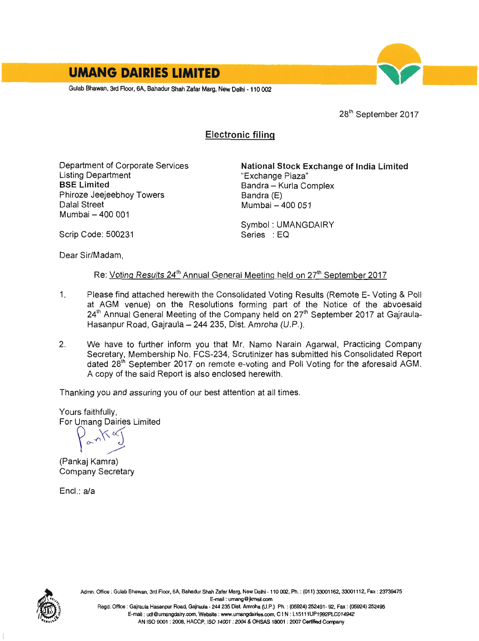

28<sup>th</sup> September 2017

# Electronic filinq

Department of Corporate Services Listing Department BSE Limited Phiroze Jeejeebhoy Towers Dalal Street Mumbai - 400 001

National Stock Exchange of lndia Limited "Exchange Plaza" Bandra - Kurla Complex Bandra (E) Mumbai - 400 051

Symbol: UMANGDAIRY Series : EQ

Scrip Code: 500231

Dear Sir/Madam,

# Re: Voting Results 24<sup>th</sup> Annual General Meeting held on 27<sup>th</sup> September 2017

- 1. Please find attached herewith the Consolidated Voting Results (Remote E- Voting & Poll at AGM venue) on the Resolutions forming part of the Notice of the abvoesaid 24<sup>th</sup> Annual General Meeting of the Company held on 27<sup>th</sup> September 2017 at Gajraula-Hasanpur Road, Gairaula - 244 235, Dist. Amroha (U.P.).
- 2. We have to further inform you that Mr. Namo Narain Agarwal, Practicing Company Secretary, Membership No. FCS-234, Scrutinizer has submitted his Consolidated Report dated 28<sup>th</sup> September 2017 on remote e-voting and Poll Voting for the aforesaid AGM. A copy of the said Report is also enclosed herewith.

Thanking you and assuring you of our best attention at all times.

Yours faithfully,<br>For Umang Dairies Limited

(Pankaj Kamra) Company Secretary

Encl.: a/a



Adrnn. Office : Gulab Bhawan, 3rd Floor, 6A, Bahadur Shah Zafar Marg, New Delhi - 110 002, Ph. : (011) 33001162, 33001112, Fax : 23739475 E-rnail : umang @ikmail.com Regd. Office : Gajraula Hasanpur Road, Gajraula - 244 235 Dist. Amroha (U.P.) Ph. : (05924) 252491- 92, Fax : (05924) 252495 E-mail : udl@umangdairy.com, Website: www.umangdairies.com, C IN : L15111UP1992PLC014942

AN ISO 9001 : 2008, HACCP, ISO 14001 : 2004 & OHSAS 18001 : 2007 Certified Company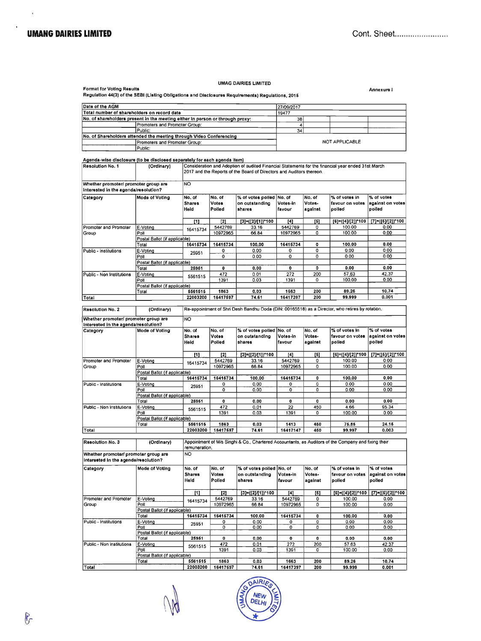$\overline{a}$ 

#### **UMAG DAIRIES LIMITED**

שהו וחדש בשנותים באורחיים וביטוחיים.<br>Regulation 44(3) of the SEBI (Listing Obligations and Disclosures Requirements) Regulations, 2015

Annexure I

| Date of the AGM                                                               | 27/09/2017      |                |  |  |
|-------------------------------------------------------------------------------|-----------------|----------------|--|--|
| Total number of shareholders on record date<br>19477                          |                 |                |  |  |
| No. of shareholders present in the meeting either in person or through proxy: | 38              |                |  |  |
| Promoters and Promoter Group:                                                 |                 |                |  |  |
| Public:                                                                       | 34 <sub>1</sub> |                |  |  |
| No, of Shareholders attended the meeting through Video Conferencing           |                 |                |  |  |
| Promoters and Promoter Group:                                                 |                 | NOT APPLICABLE |  |  |
| $D1$ while $\sim$                                                             |                 |                |  |  |

| Agenda-wise disclosure (to be disclosed separately for each agenda item)<br><b>Resolution No. 1</b> | (Ordinary)                    |                   |                |                                                                      |              |                    | Consideration and Adoption of audited Financial Statements for the financial year ended 31st March  |                                               |
|-----------------------------------------------------------------------------------------------------|-------------------------------|-------------------|----------------|----------------------------------------------------------------------|--------------|--------------------|-----------------------------------------------------------------------------------------------------|-----------------------------------------------|
|                                                                                                     |                               |                   |                | 2017 and the Reports of the Board of Directors and Auditors thereon. |              |                    |                                                                                                     |                                               |
| Whether promoter/ promoter group are<br>interested in the agenda/resolution?                        |                               | NO.               |                |                                                                      |              |                    |                                                                                                     |                                               |
| Category                                                                                            | Mode of Voting                | No. of            | No. of         | % of votes polled No. of                                             |              | No. of             | % of votes in                                                                                       | % of votes                                    |
|                                                                                                     |                               | <b>Shares</b>     | Votes          | on outstanding                                                       | Votes-in     | Votes-             | favour on votes                                                                                     | against on votes                              |
|                                                                                                     |                               | Held              | Polled         | shares                                                               | favour       | against            | polled                                                                                              | polled                                        |
|                                                                                                     |                               | $[1]$             | [2]            | $[3] = ([2]/[1])^*100$                                               | [4]          | [5]                | [6]=([4]/[2])*100                                                                                   | $[7] = ([5]/[2])^*100$                        |
| Promoter and Promoter                                                                               | E-Voting                      | 16415734          | 5442769        | 33.16                                                                | 5442769      | o                  | 100.00                                                                                              | 0.00                                          |
| Group                                                                                               | Poll                          |                   | 10972965       | 66.84                                                                | 10972965     | 0                  | 100.00                                                                                              | 0.00                                          |
|                                                                                                     | Postal Ballot (if applicable) |                   |                |                                                                      |              |                    |                                                                                                     |                                               |
|                                                                                                     | Total                         | 16415734          | 16415734       | 100.00                                                               | 16415734     | 0                  | 100.00                                                                                              | 0.00                                          |
| Public - Institutions                                                                               | E-Voting                      | 25951             | 0              | 0.00                                                                 | 0            | 0                  | 0.00                                                                                                | 0.00                                          |
|                                                                                                     | Poll                          |                   | $\mathbf 0$    | 0.00                                                                 | 0            | 0                  | 0.00                                                                                                | 0,00                                          |
|                                                                                                     | Postal Ballot (if applicable) | 25951             | $\mathbf 0$    | 0.00                                                                 | 0            | 0                  | 0.00                                                                                                | 0.00                                          |
|                                                                                                     | Total                         |                   | 472            | 0.01                                                                 | 272          | 200                | 57.63                                                                                               | 42.37                                         |
| Public - Non Institutions                                                                           | E-Voting<br>Poll              | 5561515           | 1391           | 0.03                                                                 | 1391         | 0                  | 100.00                                                                                              | 0.00                                          |
|                                                                                                     | Postal Ballot (if applicable) |                   |                |                                                                      |              |                    |                                                                                                     |                                               |
|                                                                                                     | Total                         | 5561515           | 1863           | 0.03                                                                 | 1663         | 200                | 89.26                                                                                               | 10.74                                         |
| Total                                                                                               |                               | 22003200          | 16417597       | 74.61                                                                | 16417397     | 200                | 99.999                                                                                              | 0.001                                         |
|                                                                                                     |                               |                   |                |                                                                      |              |                    |                                                                                                     |                                               |
| <b>Resolution No. 2</b>                                                                             | (Ordinary)                    |                   |                |                                                                      |              |                    | Re-appointment of Shri Desh Bandhu Doda (DIN: 00165518) as a Director, who retires by rotation.     |                                               |
| Whether promoter/ promoter group are<br>Interested in the agenda/resolution?                        |                               | NO                |                |                                                                      |              |                    |                                                                                                     |                                               |
| Category                                                                                            | Mode of Voting                | No. of            | No. of         | % of votes polled                                                    | lNo. of      | No. of             | % of votes in                                                                                       | % of votes                                    |
|                                                                                                     |                               | <b>Shares</b>     | <b>Votes</b>   | on outatanding                                                       | Votes-in     | Votes-             | favour on votes                                                                                     | against on votes                              |
|                                                                                                     |                               | Heid              | Polled         | shares                                                               | favour       | against            | polled                                                                                              | polled                                        |
|                                                                                                     |                               | [1]               | $^{[2]}$       | [3]=([2]/[1])*100                                                    | [4]          | [6]                | [6]=([4]/[2])*100                                                                                   | $[7]=[5]/[2])$ 100                            |
| Promoter and Promoter                                                                               | E-Voting                      | 16415734          | 5442769        | 33.16                                                                | 5442769      | 0                  | 100.00                                                                                              | 0.00                                          |
| Group                                                                                               | Poll                          |                   | 10972965       | 66.84                                                                | 10972965     | 0                  | 100.00                                                                                              | 0.00                                          |
|                                                                                                     | Postal Ballot (if applicable) |                   |                |                                                                      |              |                    |                                                                                                     |                                               |
|                                                                                                     | Total                         | 16415734          | 16415734       | 100,00                                                               | 16415734     | 0                  | 100.00                                                                                              | 0.00                                          |
| Public - Institutions                                                                               | E-Voting                      | 25951             | 0              | 0.00                                                                 | 0            | $\circ$            | 0.00                                                                                                | 0.00                                          |
|                                                                                                     | Poll                          |                   | 0              | 0.00                                                                 | 0            | 0                  | 0.00                                                                                                | 0.00                                          |
|                                                                                                     | Postal Ballot (if applicable) |                   |                |                                                                      |              |                    |                                                                                                     |                                               |
|                                                                                                     | Total                         | 25951             | $\mathbf{0}$   | 0.00                                                                 | $\mathbf{o}$ | $\mathbf{o}$       | 0.00                                                                                                | 0.00                                          |
| Public - Non Institutions                                                                           | E-Voting                      | 5561515           | 472            | 0.01                                                                 | 22           | 450                | 4.66                                                                                                | 95.34                                         |
|                                                                                                     | Poll                          |                   | 1391           | 0.03                                                                 | 1391         | $\circ$            | 100.00                                                                                              | 0.00                                          |
|                                                                                                     | Postal Ballot (if applicable) |                   |                |                                                                      |              |                    |                                                                                                     |                                               |
|                                                                                                     | Total                         | 5561515           | 1863           | 0.03                                                                 | 1413         | 450                | 75.85                                                                                               | 24.15                                         |
| <b>Total</b>                                                                                        |                               | 22003200          | 16417597       | 74.61                                                                | 16417147     | 450                | 99.997                                                                                              | 0.003                                         |
| Resolution No. 3                                                                                    | (Ordinary)                    |                   |                |                                                                      |              |                    | Appointment of M/s Singhi & Co., Chartered Accountants, as Auditors of the Company and fixing their |                                               |
|                                                                                                     |                               |                   |                |                                                                      |              |                    |                                                                                                     |                                               |
|                                                                                                     |                               | remuneration.     |                |                                                                      |              |                    |                                                                                                     |                                               |
| Whether promoter/ promoter group are<br>interested in the agenda/resolution?                        |                               | NO                |                |                                                                      |              |                    |                                                                                                     |                                               |
| Category                                                                                            | <b>Mode of Voting</b>         | No. of            | No, of         | % of votes polled                                                    | No. of       | No. of             | % of votes in                                                                                       | % of votes                                    |
|                                                                                                     |                               | <b>Shares</b>     | Votes          | on outstanding                                                       | Votes-In     | Votes-             | favour on votes                                                                                     |                                               |
|                                                                                                     |                               | Held              | Polled         | shares                                                               | favour       | against            | polled                                                                                              | polled                                        |
|                                                                                                     |                               |                   |                |                                                                      |              |                    |                                                                                                     |                                               |
|                                                                                                     |                               |                   |                |                                                                      |              |                    |                                                                                                     |                                               |
| Promoter and Promoter                                                                               | E-Voting                      | $[1]$<br>16415734 | [2]<br>5442769 | [3]=([2]/[1])*100<br>33.16                                           | 4<br>5442769 | [6]<br>$\mathbf 0$ | [6]=([4]/[2])*100<br>100.00                                                                         | against on votes<br>[7]=([5]/[2])*100<br>0.00 |

Postal Ballot (if applicable)<br>Total 16415734 16415734 16416734  $100.00$  $\overline{\mathbf{0}}$ 100.00  $0.00$ Public - Institutions E-Voting  $\frac{0.00}{0.00}$  $\frac{1}{\circ}$  $\frac{0.00}{0.00}$  $\frac{0.00}{0.00}$ 25951  $\frac{0}{0}$  $\frac{0}{0}$ Postal Ballot (if applicable)<br>Total 25951  $\overline{0}$  $0.00$  $\overline{\bullet}$  $\overline{\bullet}$  $0.00$  $0.00$ E-Voting<br>
E-Voting<br>
Poli<br>
Postal Ballot (if applicable)<br>
Total<br>
Contract Leon  $\frac{0.01}{0.03}$  $\frac{57.63}{100.00}$  $\frac{42.37}{0.00}$ Public - Non Institutions 472  $\frac{272}{1391}$  $\frac{200}{0}$ 5561515 1391 6561516 1863  $0.03$ 1663  $\overline{200}$ 89.26  $10.74$ Total 22003200 16417597 74.61 16417397 200 99.999  $0.001$ 

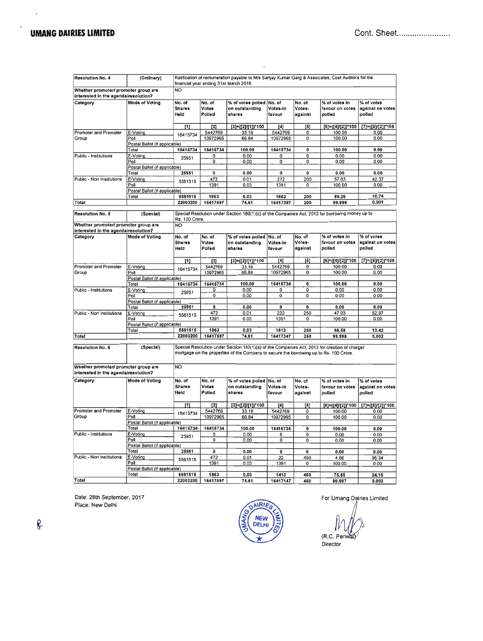$\bar{\mathbf{x}}$ 

 $\epsilon$ 

| Resolution No. 4                                                             | (Ordinary)                             | Ratification of remuneration payable to M/s Sanjay Kumar Garg & Associates, Cost Auditors for the<br>financial year ending 31st March 2018. |              |                                                                                                                                                                                         |                  |                  |                                |                        |
|------------------------------------------------------------------------------|----------------------------------------|---------------------------------------------------------------------------------------------------------------------------------------------|--------------|-----------------------------------------------------------------------------------------------------------------------------------------------------------------------------------------|------------------|------------------|--------------------------------|------------------------|
| Whether promoter/ promoter group are                                         |                                        | <b>NO</b>                                                                                                                                   |              |                                                                                                                                                                                         |                  |                  |                                |                        |
| interested in the agenda/resolution?                                         |                                        |                                                                                                                                             |              |                                                                                                                                                                                         |                  |                  |                                |                        |
| Category                                                                     | Mode of Voting                         | No. of                                                                                                                                      | No. of       | % of votes polled                                                                                                                                                                       | No. of           | No. of           | % of votes in                  | % of votes             |
|                                                                              |                                        | <b>Shares</b>                                                                                                                               | Votes        | on outstanding                                                                                                                                                                          | Votes-in         | Votes-           | favour on votes                | against on votes       |
|                                                                              |                                        | Held                                                                                                                                        | Polled       | shares                                                                                                                                                                                  | favour           | against          | polled                         | polled                 |
|                                                                              |                                        |                                                                                                                                             |              |                                                                                                                                                                                         |                  |                  |                                |                        |
|                                                                              |                                        | [1]                                                                                                                                         | $[2]$        | $[3]=[2]/[1])^*100$                                                                                                                                                                     | [4]              | $\left[5\right]$ | [6]=([4]/[2]) <sup>*</sup> 100 | [7]=([5]/[2])*100      |
| Promoter and Promoter                                                        | E-Voting                               |                                                                                                                                             | 5442769      | 33.16                                                                                                                                                                                   | 5442769          | 0                | 100.00                         | 0.00                   |
| Group                                                                        | Poll                                   | 16415734                                                                                                                                    | 10972965     | 66.84                                                                                                                                                                                   | 10972965         | 0                | 100.00                         | 0.00                   |
|                                                                              | Postal Ballot (if applicable)          |                                                                                                                                             |              |                                                                                                                                                                                         |                  |                  |                                |                        |
|                                                                              | Total                                  | 16415734                                                                                                                                    | 16415734     | 100.00                                                                                                                                                                                  | 16415734         | 0                | 100.00                         | 0.00                   |
| Public - Institutions                                                        | E-Voting                               |                                                                                                                                             | 0            | 0.00                                                                                                                                                                                    | 0                | 0                | 0.00                           | 0.00                   |
|                                                                              | Poll                                   | 25951                                                                                                                                       | 0            | 0.00                                                                                                                                                                                    | 0                | 0                | 0.00                           | 0.00                   |
|                                                                              | Postal Ballot (if applicable)          |                                                                                                                                             |              |                                                                                                                                                                                         |                  |                  |                                |                        |
|                                                                              | Total                                  | 25951                                                                                                                                       | 0            | 0.00                                                                                                                                                                                    | 0                | $\mathbf 0$      | 0.00                           | 0.00                   |
| Public - Non Institutions                                                    | E-Voting                               |                                                                                                                                             | 472          | 0.01                                                                                                                                                                                    | 272              | 200              | 57.63                          | 42.37                  |
|                                                                              | Poll                                   | 5561515                                                                                                                                     | 1391         | 0.03                                                                                                                                                                                    | 1391             | 0                | 100.00                         | 0.00                   |
|                                                                              | Postal Ballot (if applicable)          |                                                                                                                                             |              |                                                                                                                                                                                         |                  |                  |                                |                        |
|                                                                              | Total                                  | 5561515                                                                                                                                     | 1863         | 0.03                                                                                                                                                                                    | 1663             | 200              | 89.26                          | 10.74                  |
| Total                                                                        |                                        | 22003200                                                                                                                                    | 16417597     | 74.61                                                                                                                                                                                   | 16417397         | 200              | 99.999                         | 0.001                  |
|                                                                              |                                        |                                                                                                                                             |              |                                                                                                                                                                                         |                  |                  |                                |                        |
| <b>Resolution No. 5</b>                                                      | (Special)                              | Rs. 100 Crore.                                                                                                                              |              | Special Resolution under Section 180(1)(c) of the Companies Act, 2013 for borrowing money up to                                                                                         |                  |                  |                                |                        |
| Whether promoter/ promoter group are                                         |                                        | <b>NO</b>                                                                                                                                   |              |                                                                                                                                                                                         |                  |                  |                                |                        |
| interested in the agenda/resolution?                                         |                                        |                                                                                                                                             |              |                                                                                                                                                                                         |                  |                  |                                |                        |
| Category                                                                     | Mode of Voting                         | No. of                                                                                                                                      | No. of       | % of votes polled                                                                                                                                                                       | No. of           | No. of           | % of votes in                  | % of votes             |
|                                                                              |                                        | <b>Shares</b>                                                                                                                               | Votes        | on outstanding                                                                                                                                                                          | Votes-in         | Votes-           | favour on votes                | against on votes       |
|                                                                              |                                        | Held                                                                                                                                        | Polled       | shares                                                                                                                                                                                  | favour           | against          | polled                         | polled                 |
|                                                                              |                                        |                                                                                                                                             |              |                                                                                                                                                                                         |                  |                  |                                |                        |
|                                                                              |                                        | $[1]$                                                                                                                                       | $^{[2]}$     | $[3] = ([2]/[1])^2 100$                                                                                                                                                                 | [4]              | [5]              | [6]=([4]/[2])*100              | [7]=([6]/[2])*100      |
| Promoter and Promoter                                                        | E-Voting                               |                                                                                                                                             | 5442769      | 33.16                                                                                                                                                                                   | 5442769          | 0                | 100.00                         | 0.00                   |
| Group                                                                        | Poll                                   | 16415734                                                                                                                                    | 10972965     | 66.84                                                                                                                                                                                   | 10972965         | 0                | 100.00                         | 0.00                   |
|                                                                              | Postal Ballot (if applicable)          |                                                                                                                                             |              |                                                                                                                                                                                         |                  |                  |                                |                        |
|                                                                              | Total                                  | 16415734                                                                                                                                    | 16415734     | 100.00                                                                                                                                                                                  | 16415734         | 0                | 100.00                         | 0.00                   |
| Public - Institutions                                                        | E-Voting                               |                                                                                                                                             | 0            | 0.00                                                                                                                                                                                    | 0                | Ő                | 0.00                           | 0.00                   |
|                                                                              | Poll                                   | 25951                                                                                                                                       | 0            | 0.00                                                                                                                                                                                    | 0                | 0                | 0.00                           | 0.00                   |
|                                                                              | Postal Ballot (if applicable)          |                                                                                                                                             |              |                                                                                                                                                                                         |                  |                  |                                |                        |
|                                                                              | Total                                  | 25951                                                                                                                                       | 0            | 0.00                                                                                                                                                                                    | 0                | 0                | 0.00                           | 0.00                   |
| Public - Non Institutions                                                    | E-Voting                               |                                                                                                                                             | 472          | 0.01                                                                                                                                                                                    | 222              | 250              | 47.03                          | 52.97                  |
|                                                                              | Poll                                   | 5561515                                                                                                                                     | 1391         | 0.03                                                                                                                                                                                    | 1391             | 0                | 100.00                         | 0.00                   |
|                                                                              | Postal Ballot (if applicable)          |                                                                                                                                             |              |                                                                                                                                                                                         |                  |                  |                                |                        |
|                                                                              | Total                                  | 5561515                                                                                                                                     | 1863         | 0.03                                                                                                                                                                                    | 1613             | 250              | 86.58                          | 13.42                  |
| Total                                                                        |                                        | 22003200                                                                                                                                    | 16417597     | 74.61                                                                                                                                                                                   | 16417347         | 250              | 99.998                         | 0.002                  |
|                                                                              |                                        |                                                                                                                                             |              |                                                                                                                                                                                         |                  |                  |                                |                        |
| Resolution No. 6                                                             | (Special)                              |                                                                                                                                             |              | Special Resolution under Section 180(1)(a) of the Companies Act, 2013 for creation of charge/<br>mortgage on the properties of the Company to secure the borrowing up to Rs. 100 Crore. |                  |                  |                                |                        |
| Whether promoter/ promoter group are<br>interested in the agenda/resolution? |                                        | N <sub>O</sub>                                                                                                                              |              |                                                                                                                                                                                         |                  |                  |                                |                        |
| Category                                                                     | Mode of Voting                         | No. of                                                                                                                                      | No. of       | % of votes polled                                                                                                                                                                       | No. of           | No. of           | % of votes in                  | % of votes             |
|                                                                              |                                        | <b>Shares</b>                                                                                                                               | Votes        | on outstanding                                                                                                                                                                          | Votes-in         | Votes-           | favour on votes                | against on votes       |
|                                                                              |                                        | Held                                                                                                                                        | Polled       | shares                                                                                                                                                                                  | favour           | against          | polled                         | polled                 |
|                                                                              |                                        |                                                                                                                                             |              |                                                                                                                                                                                         |                  |                  |                                |                        |
|                                                                              |                                        | $[1]$                                                                                                                                       | [2]          | $[3] = ([2]/[1])^*100$                                                                                                                                                                  | [4]              | [5]              | [6]=([4]/[2])*100              | $[7] = ([5]/[2])^*100$ |
| Promoter and Promoter                                                        | E-Voting                               |                                                                                                                                             | 5442769      | 33.16                                                                                                                                                                                   | 5442769          | 0                | 100.00                         | 0.00                   |
| Group                                                                        | Poll                                   | 16415734                                                                                                                                    | 10972965     | 66.84                                                                                                                                                                                   | 10972965         | 0                | 100.00                         | 0.00                   |
|                                                                              | Postal Ballot (if applicable)          |                                                                                                                                             |              |                                                                                                                                                                                         |                  |                  |                                |                        |
|                                                                              | Total                                  | 16415734                                                                                                                                    | 16415734     | 100.00                                                                                                                                                                                  | 16415734         | 0                | 100.00                         | 0.00                   |
| Public - Institutions                                                        | E-Voting                               |                                                                                                                                             | 0            | 0.00                                                                                                                                                                                    | 0                | 0                | 0.00                           | 0.00                   |
|                                                                              | Poll                                   | 25951                                                                                                                                       | 0            | 0.00                                                                                                                                                                                    | 0                | 0                | 0.00                           |                        |
|                                                                              | Postal Ballot (if applicable)          |                                                                                                                                             |              |                                                                                                                                                                                         |                  |                  |                                | 0.00                   |
|                                                                              | Total                                  | 25951                                                                                                                                       | $\mathbf{0}$ |                                                                                                                                                                                         |                  |                  |                                |                        |
| Public - Non Institutions                                                    | E-Voting                               |                                                                                                                                             |              | 0.00                                                                                                                                                                                    | 0                | 0                | 0.00                           | 0.00                   |
|                                                                              | Poll                                   | 5561515                                                                                                                                     | 472          | 0.01                                                                                                                                                                                    | 22               | 450              | 4.66                           | 95.34                  |
|                                                                              |                                        |                                                                                                                                             | 1391         | 0.03                                                                                                                                                                                    | 1391             | 0                | 100.00                         | 0.00                   |
|                                                                              | Postal Ballot (if applicable)<br>Total |                                                                                                                                             | 1863         |                                                                                                                                                                                         |                  |                  |                                |                        |
| Total                                                                        |                                        | 5561515<br>22003200                                                                                                                         | 16417597     | 0,03<br>74.61                                                                                                                                                                           | 1413<br>16417147 | 450<br>450       | 75.85<br>99.997                | 24.15<br>n nna         |
|                                                                              |                                        |                                                                                                                                             |              |                                                                                                                                                                                         |                  |                  |                                |                        |

 $\bar{z}$ 

Date: 28th September, 2017 Place: New Delhi



For Umang Dairies Limited  $\mu$ 

(R.C. Periv Director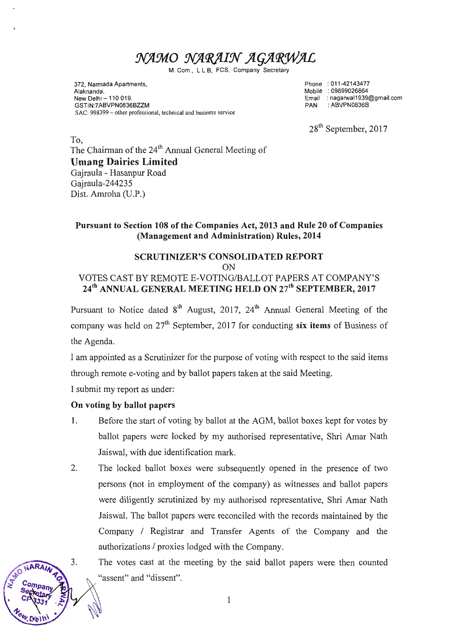# NAMO NARAIN AGARWAL

M. Com., L L B, FCS, Company Secretary

372, Narmada Apartments, Alaknanda, New Delhi - 110 019. GSTIN:7ABVPN0836BZZM SAC: 998399 - other professional, technical and business service

Phone 011-42143477 Mobile 09899026864 Email naganruall 939@gmail.com PAN ABVPNOS36B

28<sup>th</sup> September, 2017

To, The Chairman of the 24<sup>th</sup> Annual General Meeting of Umang Dairies Limited Gajraula - Hasanpur Road Gajraula-244235 Dist. Amroha (U.P.)

### Pursuant to Section 108 of the Companies Act, 2013 and Rule 20 of Companies (Management and Administration) Rules, 2014

#### SCRUTINIZER'S CONSOLIDATED REPORT

ON

# VOTES CAST BY REMOTE E.VOTING/BALLOT PAPERS AT COMPANY'S 24<sup>th</sup> ANNUAL GENERAL MEETING HELD ON 27<sup>th</sup> SEPTEMBER, 2017

Pursuant to Notice dated  $8<sup>th</sup>$  August, 2017, 24<sup>th</sup> Annual General Meeting of the company was held on  $27<sup>th</sup>$  September, 2017 for conducting six items of Business of the Agenda.

I am appointed as a Scrutinizer for the purpose of voting with respect to the said items through remote e-voting and by ballot papers taken at the said Meeting.

I submit my report as under:

#### On voting by ballot papers

J.

- 1. Before the start of voting by ballot at the AGM, ballot boxes kept for votes by ballot papers were locked by my authorised representative, Shri Amar Nath Jaiswal, with due identification mark.
- 2. The locked ballot boxes were subsequently opened in the presence of two persons (not in employment of the company) as witnesses and ballot papers were diligently scrutinized by my authorised representative, Shri Amar Nath Jaiswal. The ballot papers were reconciled with the records maintained by the Company / Registrar and Transfer Agents of the Company and the authorizations / proxies lodged with the Company.

The votes cast at the meeting by the said ballot papers were then counted "assent" and "dissent".

1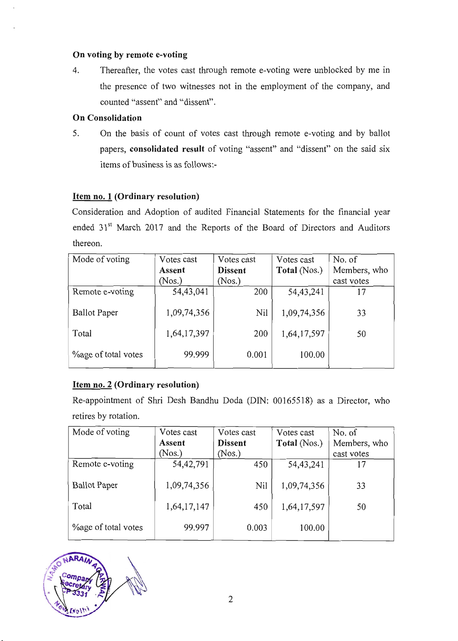#### On voting by remote e-voting

4. Thereafter, the votes cast through remote e-voting were unblocked by me in the presence of two witnesses not in the employment of the company, and counted "assent" and "dissent".

#### On Consolidation

5. On the basis of count of votes cast through remote e-voting and by ballot papers, consolidated result of voting "assent" and "dissent" on the said six items of business is as follows:-

# Item no. I (Ordinary resolution)

Consideration and Adoption of audited Financial Statements for the financial year ended 31't March 2017 and the Reports of the Board of Directors and Auditors thereon.

| Mode of voting              | Votes cast  | Votes cast     | Votes cast   | No. of       |
|-----------------------------|-------------|----------------|--------------|--------------|
|                             | Assent      | <b>Dissent</b> | Total (Nos.) | Members, who |
|                             | (Nos.)      | (Nos.)         |              | cast votes   |
| Remote e-voting             | 54,43,041   | 200            | 54, 43, 241  |              |
| <b>Ballot</b> Paper         | 1,09,74,356 | Nil            | 1,09,74,356  | 33           |
| Total                       | 1,64,17,397 | 200            | 1,64,17,597  | 50           |
| <b>Youge of total votes</b> | 99.999      | 0.001          | 100.00       |              |

# Item no.2 (Ordinary resolution)

Re-appointment of Shri Desh Bandhu Doda (DIN: 00165518) as a Director, who retires by rotation.

| Mode of voting             | Votes cast  | Votes cast     | Votes cast   | No. of       |
|----------------------------|-------------|----------------|--------------|--------------|
|                            | Assent      | <b>Dissent</b> | Total (Nos.) | Members, who |
|                            | (Nos.)      | (Nos.)         |              | cast votes   |
| Remote e-voting            | 54, 42, 791 | 450            | 54, 43, 241  | 17           |
| <b>Ballot</b> Paper        | 1,09,74,356 | Nil            | 1,09,74,356  | 33           |
| Total                      | 1,64,17,147 | 450            | 1,64,17,597  | 50           |
| <b>Vage of total votes</b> | 99.997      | 0.003          | 100.00       |              |

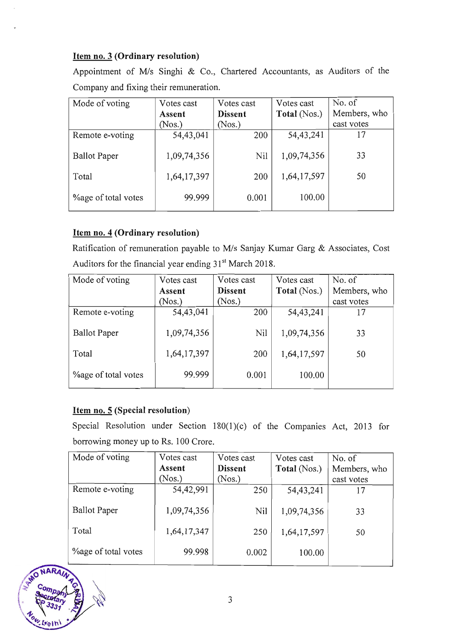# Item no.3 (Ordinary resolution)

Appointment of M/s Singhi & Co., Chartered Accountants, as Auditors of the Company and fixing their remuneration.

| Mode of voting              | Votes cast  | Votes cast     | Votes cast   | No. of       |
|-----------------------------|-------------|----------------|--------------|--------------|
|                             | Assent      | <b>Dissent</b> | Total (Nos.) | Members, who |
|                             | (Nos.)      | (Nos.)         |              | cast votes   |
| Remote e-voting             | 54,43,041   | 200            | 54, 43, 241  | 17           |
| <b>Ballot</b> Paper         | 1,09,74,356 | Nil            | 1,09,74,356  | 33           |
| Total                       | 1,64,17,397 | 200            | 1,64,17,597  | 50           |
| <b>Youge of total votes</b> | 99.999      | 0.001          | 100.00       |              |

# Item no. 4 (Ordinary resolution)

Ratification of remuneration payable to M/s Sanjay Kumar Garg & Associates, Cost Auditors for the financial year ending 31<sup>st</sup> March 2018.

| Mode of voting              | Votes cast  | Votes cast     | Votes cast   | No. of       |
|-----------------------------|-------------|----------------|--------------|--------------|
|                             | Assent      | <b>Dissent</b> | Total (Nos.) | Members, who |
|                             | (Nos.)      | (Nos.)         |              | cast votes   |
| Remote e-voting             | 54,43,041   | 200            | 54, 43, 241  | 17           |
| <b>Ballot</b> Paper         | 1,09,74,356 | Nil            | 1,09,74,356  | 33           |
| Total                       | 1,64,17,397 | 200            | 1,64,17,597  | 50           |
| <b>Youge of total votes</b> | 99.999      | 0.001          | 100.00       |              |

# Item no. 5 (Special resolution)

Special Resolution under Section 180(1)(c) of the Companies Act, 2013 for borrowing money up to Rs. 100 Crore.

| Mode of voting              | Votes cast  | Votes cast     | Votes cast   | No. of       |
|-----------------------------|-------------|----------------|--------------|--------------|
|                             | Assent      | <b>Dissent</b> | Total (Nos.) | Members, who |
|                             | (Nos.)      | (Nos.)         |              | cast votes   |
| Remote e-voting             | 54,42,991   | 250            | 54, 43, 241  | 17           |
| <b>Ballot</b> Paper         | 1,09,74,356 | Nil            | 1,09,74,356  | 33           |
| Total                       | 1,64,17,347 | 250            | 1,64,17,597  | 50           |
| <b>Youge of total votes</b> | 99.998      | 0.002          | 100.00       |              |